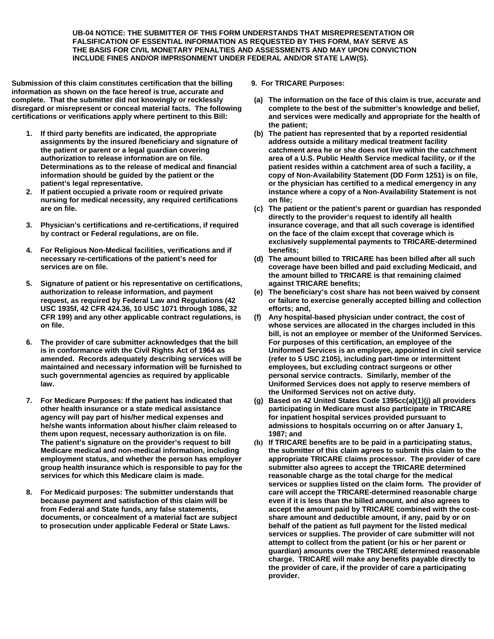**UB-04 NOTICE: THE SUBMITTER OF THIS FORM UNDERSTANDS THAT MISREPRESENTATION OR FALSIFICATION OF ESSENTIAL INFORMATION AS REQUESTED BY THIS FORM, MAY SERVE AS THE BASIS FOR CIVIL MONETARY PENALTIES AND ASSESSMENTS AND MAY UPON CONVICTION INCLUDE FINES AND/OR IMPRISONMENT UNDER FEDERAL AND/OR STATE LAW(S).** 

**Submission of this claim constitutes certification that the billing information as shown on the face hereof is true, accurate and complete. That the submitter did not knowingly or recklessly disregard or misrepresent or conceal material facts. The following certifications or verifications apply where pertinent to this Bill:** 

- **1. If third party benefits are indicated, the appropriate assignments by the insured /beneficiary and signature of the patient or parent or a legal guardian covering authorization to release information are on file. Determinations as to the release of medical and financial information should be guided by the patient or the patient's legal representative.**
- **2. If patient occupied a private room or required private nursing for medical necessity, any required certifications are on file.**
- **3. Physician's certifications and re-certifications, if required by contract or Federal regulations, are on file.**
- **4. For Religious Non-Medical facilities, verifications and if necessary re-certifications of the patient's need for services are on file.**
- **5. Signature of patient or his representative on certifications, authorization to release information, and payment request, as required by Federal Law and Regulations (42 USC 1935f, 42 CFR 424.36, 10 USC 1071 through 1086, 32 CFR 199) and any other applicable contract regulations, is on file.**
- **6. The provider of care submitter acknowledges that the bill is in conformance with the Civil Rights Act of 1964 as amended. Records adequately describing services will be maintained and necessary information will be furnished to such governmental agencies as required by applicable law.**
- **7. For Medicare Purposes: If the patient has indicated that other health insurance or a state medical assistance agency will pay part of his/her medical expenses and he/she wants information about his/her claim released to them upon request, necessary authorization is on file. The patient's signature on the provider's request to bill Medicare medical and non-medical information, including employment status, and whether the person has employer group health insurance which is responsible to pay for the services for which this Medicare claim is made.**
- **8. For Medicaid purposes: The submitter understands that because payment and satisfaction of this claim will be from Federal and State funds, any false statements, documents, or concealment of a material fact are subject to prosecution under applicable Federal or State Laws.**

**9. For TRICARE Purposes:** 

- **(a) The information on the face of this claim is true, accurate and complete to the best of the submitter's knowledge and belief, and services were medically and appropriate for the health of the patient;**
- **(b) The patient has represented that by a reported residential address outside a military medical treatment facility catchment area he or she does not live within the catchment area of a U.S. Public Health Service medical facility, or if the patient resides within a catchment area of such a facility, a copy of Non-Availability Statement (DD Form 1251) is on file, or the physician has certified to a medical emergency in any instance where a copy of a Non-Availability Statement is not on file;**
- **(c) The patient or the patient's parent or guardian has responded directly to the provider's request to identify all health insurance coverage, and that all such coverage is identified on the face of the claim except that coverage which is exclusively supplemental payments to TRICARE-determined benefits;**
- **(d) The amount billed to TRICARE has been billed after all such coverage have been billed and paid excluding Medicaid, and the amount billed to TRICARE is that remaining claimed against TRICARE benefits;**
- **(e) The beneficiary's cost share has not been waived by consent or failure to exercise generally accepted billing and collection efforts; and,**
- **(f) Any hospital-based physician under contract, the cost of whose services are allocated in the charges included in this bill, is not an employee or member of the Uniformed Services. For purposes of this certification, an employee of the Uniformed Services is an employee, appointed in civil service (refer to 5 USC 2105), including part-time or intermittent employees, but excluding contract surgeons or other personal service contracts. Similarly, member of the Uniformed Services does not apply to reserve members of the Uniformed Services not on active duty.**
- **(g) Based on 42 United States Code 1395cc(a)(1)(j) all providers participating in Medicare must also participate in TRICARE for inpatient hospital services provided pursuant to admissions to hospitals occurring on or after January 1, 1987; and**
- **(h) If TRICARE benefits are to be paid in a participating status, the submitter of this claim agrees to submit this claim to the appropriate TRICARE claims processor. The provider of care submitter also agrees to accept the TRICARE determined reasonable charge as the total charge for the medical services or supplies listed on the claim form. The provider of care will accept the TRICARE-determined reasonable charge even if it is less than the billed amount, and also agrees to accept the amount paid by TRICARE combined with the costshare amount and deductible amount, if any, paid by or on behalf of the patient as full payment for the listed medical services or supplies. The provider of care submitter will not attempt to collect from the patient (or his or her parent or guardian) amounts over the TRICARE determined reasonable charge. TRICARE will make any benefits payable directly to the provider of care, if the provider of care a participating provider.**